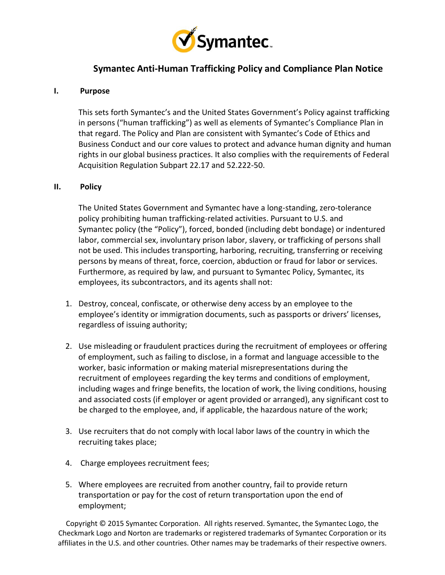

# **Symantec Anti-Human Trafficking Policy and Compliance Plan Notice**

## **I. Purpose**

This sets forth Symantec's and the United States Government's Policy against trafficking in persons ("human trafficking") as well as elements of Symantec's Compliance Plan in that regard. The Policy and Plan are consistent with Symantec's Code of Ethics and Business Conduct and our core values to protect and advance human dignity and human rights in our global business practices. It also complies with the requirements of Federal Acquisition Regulation Subpart 22.17 and 52.222-50.

#### **II. Policy**

The United States Government and Symantec have a long-standing, zero-tolerance policy prohibiting human trafficking-related activities. Pursuant to U.S. and Symantec policy (the "Policy"), forced, bonded (including debt bondage) or indentured labor, commercial sex, involuntary prison labor, slavery, or trafficking of persons shall not be used. This includes transporting, harboring, recruiting, transferring or receiving persons by means of threat, force, coercion, abduction or fraud for labor or services. Furthermore, as required by law, and pursuant to Symantec Policy, Symantec, its employees, its subcontractors, and its agents shall not:

- 1. Destroy, conceal, confiscate, or otherwise deny access by an employee to the employee's identity or immigration documents, such as passports or drivers' licenses, regardless of issuing authority;
- 2. Use misleading or fraudulent practices during the recruitment of employees or offering of employment, such as failing to disclose, in a format and language accessible to the worker, basic information or making material misrepresentations during the recruitment of employees regarding the key terms and conditions of employment, including wages and fringe benefits, the location of work, the living conditions, housing and associated costs (if employer or agent provided or arranged), any significant cost to be charged to the employee, and, if applicable, the hazardous nature of the work;
- 3. Use recruiters that do not comply with local labor laws of the country in which the recruiting takes place;
- 4. Charge employees recruitment fees;
- 5. Where employees are recruited from another country, fail to provide return transportation or pay for the cost of return transportation upon the end of employment;

Copyright © 2015 Symantec Corporation. All rights reserved. Symantec, the Symantec Logo, the Checkmark Logo and Norton are trademarks or registered trademarks of Symantec Corporation or its affiliates in the U.S. and other countries. Other names may be trademarks of their respective owners.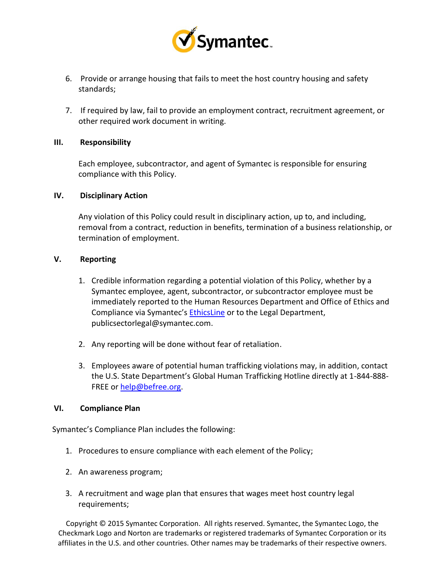

- 6. Provide or arrange housing that fails to meet the host country housing and safety standards;
- 7. If required by law, fail to provide an employment contract, recruitment agreement, or other required work document in writing.

## **III. Responsibility**

Each employee, subcontractor, and agent of Symantec is responsible for ensuring compliance with this Policy.

## **IV. Disciplinary Action**

Any violation of this Policy could result in disciplinary action, up to, and including, removal from a contract, reduction in benefits, termination of a business relationship, or termination of employment.

# **V. Reporting**

- 1. Credible information regarding a potential violation of this Policy, whether by a Symantec employee, agent, subcontractor, or subcontractor employee must be immediately reported to the Human Resources Department and Office of Ethics and Compliance via Symantec's **[EthicsLine](https://secure.ethicspoint.com/domain/media/en/gui/28771/index.html)** or to the Legal Department, publicsectorlegal@symantec.com.
- 2. Any reporting will be done without fear of retaliation.
- 3. Employees aware of potential human trafficking violations may, in addition, contact the U.S. State Department's Global Human Trafficking Hotline directly at 1-844-888- FREE o[r help@befree.org.](mailto:help@befree.org)

#### **VI. Compliance Plan**

Symantec's Compliance Plan includes the following:

- 1. Procedures to ensure compliance with each element of the Policy;
- 2. An awareness program;
- 3. A recruitment and wage plan that ensures that wages meet host country legal requirements;

Copyright © 2015 Symantec Corporation. All rights reserved. Symantec, the Symantec Logo, the Checkmark Logo and Norton are trademarks or registered trademarks of Symantec Corporation or its affiliates in the U.S. and other countries. Other names may be trademarks of their respective owners.